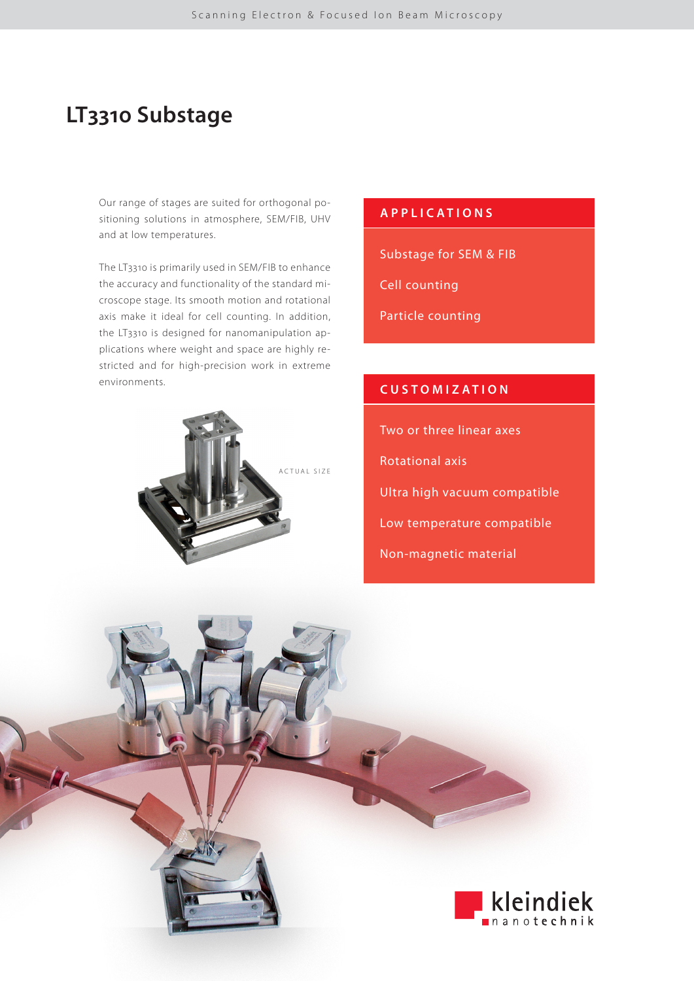# **LT3310 Substage**

Our range of stages are suited for orthogonal positioning solutions in atmosphere, SEM/FIB, UHV and at low temperatures.

The LT3310 is primarily used in SEM/FIB to enhance the accuracy and functionality of the standard microscope stage. Its smooth motion and rotational axis make it ideal for cell counting. In addition, the LT3310 is designed for nanomanipulation applications where weight and space are highly restricted and for high-precision work in extreme environments.



### **APPLICATIONS**

Substage for SEM & FIB

Cell counting

Particle counting

### **CUSTOMIZATION**

Two or three linear axes

- Rotational axis
- Ultra high vacuum compatible
- Low temperature compatible
- Non-magnetic material